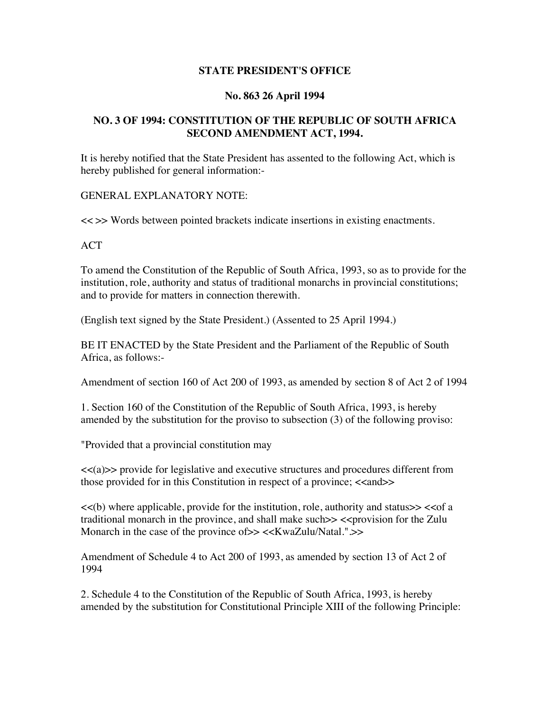## **STATE PRESIDENT'S OFFICE**

## **No. 863 26 April 1994**

## **NO. 3 OF 1994: CONSTITUTION OF THE REPUBLIC OF SOUTH AFRICA SECOND AMENDMENT ACT, 1994.**

It is hereby notified that the State President has assented to the following Act, which is hereby published for general information:-

GENERAL EXPLANATORY NOTE:

<< >> Words between pointed brackets indicate insertions in existing enactments.

ACT

To amend the Constitution of the Republic of South Africa, 1993, so as to provide for the institution, role, authority and status of traditional monarchs in provincial constitutions; and to provide for matters in connection therewith.

(English text signed by the State President.) (Assented to 25 April 1994.)

BE IT ENACTED by the State President and the Parliament of the Republic of South Africa, as follows:-

Amendment of section 160 of Act 200 of 1993, as amended by section 8 of Act 2 of 1994

1. Section 160 of the Constitution of the Republic of South Africa, 1993, is hereby amended by the substitution for the proviso to subsection (3) of the following proviso:

"Provided that a provincial constitution may

<<(a)>> provide for legislative and executive structures and procedures different from those provided for in this Constitution in respect of a province; <<and>>

<<(b) where applicable, provide for the institution, role, authority and status>> <<of a traditional monarch in the province, and shall make such  $\gg$  <<provision for the Zulu Monarch in the case of the province of  $>> \ll KwaZulu/Natal."$ 

Amendment of Schedule 4 to Act 200 of 1993, as amended by section 13 of Act 2 of 1994

2. Schedule 4 to the Constitution of the Republic of South Africa, 1993, is hereby amended by the substitution for Constitutional Principle XIII of the following Principle: